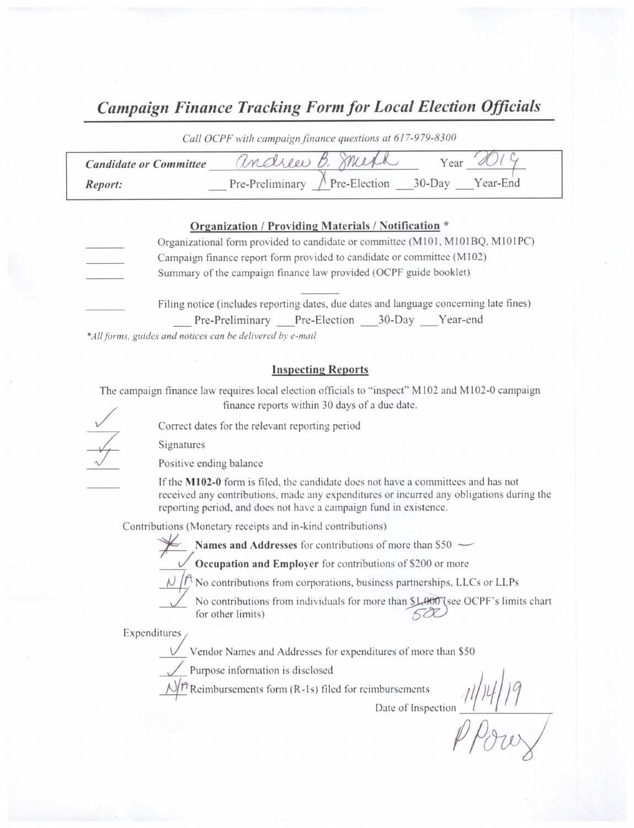## Campaign Finance Tracking Form for Local Election Officials

|                               | Call OCPF with campaign finance questions at 617-979-8300 |
|-------------------------------|-----------------------------------------------------------|
| <b>Candidate or Committee</b> | Indrew B. meth                                            |
| Report:                       | Pre-Preliminary $\land$ Pre-Election 30-Day<br>Year-End   |

#### Organization / Providing Materials/ Notification

| Organizational form provided to candidate or committee (M101, M101BQ, M101PC) |
|-------------------------------------------------------------------------------|
| Campaign finance report form provided to candidate or committee (M102)        |
| Summary of the campaign finance law provided (OCPF guide booklet)             |
|                                                                               |

Filing notice (includes reporting dates, due dates and language concerning late fines) Pre-Preliminary Pre-Election 30-Day Year-end

\*All forms, guides and notices can be delivered by e-mail

#### Inspecting Reports

The campaign finance law requires local election officials to "inspect" M102 and M102-0 campaign finance reports within 30 days of <sup>a</sup> due date.

Correct dates for the relevant reporting period

Signatures

Positive ending balance

If the M102-0 form is filed, the candidate does not have a committees and has not received any contributions, made any expenditures or incurred any obligations during the reporting period, and does not have a campaign fund in existence.

Contributions( Monetary receipts and in- kind contributions)

Names and Addresses for contributions of more than  $$50$   $-$ 

Occupation and Employer for contributions of \$200 or more

 $\mathcal{N}/\mathcal{P}$  No contributions from corporations, business partnerships, LLCs or LLPs

No contributions from individuals for more than \$1,000 (see OCPF's limits chart for other limits) 502

Expenditures/

Vendor Names and Addresses for expenditures of more than \$50

Purpose information is disclosed

 $\sqrt{n}$  Reimbursements form (R-1s) filed for reimbursements

Date of Inspection  $\binom{n}{l}$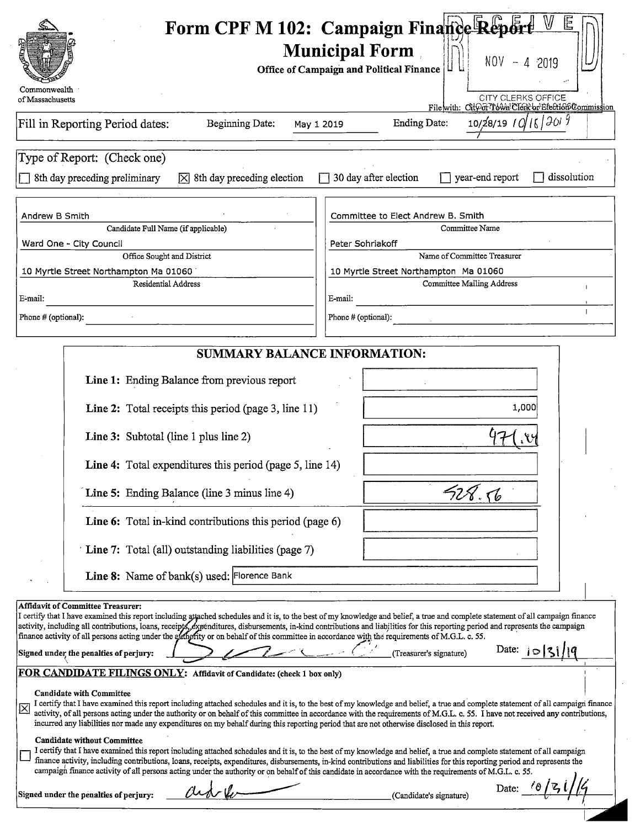| Commonwealth                                                                                                                                                             |                                                                                                                                                                                                                                                                                                                                                                                                                                                                                                                                      | Form CPF M 102: Campaign Finance Repor<br><b>Municipal Form</b><br>$NOV - 42019$<br><b>Office of Campaign and Political Finance</b>                                                                                                                                                                                                                                                                                                                                                                                                                                                                                                                                                                                                                                                                                                                                                                                                                                                                                                                                                                                                                                              |
|--------------------------------------------------------------------------------------------------------------------------------------------------------------------------|--------------------------------------------------------------------------------------------------------------------------------------------------------------------------------------------------------------------------------------------------------------------------------------------------------------------------------------------------------------------------------------------------------------------------------------------------------------------------------------------------------------------------------------|----------------------------------------------------------------------------------------------------------------------------------------------------------------------------------------------------------------------------------------------------------------------------------------------------------------------------------------------------------------------------------------------------------------------------------------------------------------------------------------------------------------------------------------------------------------------------------------------------------------------------------------------------------------------------------------------------------------------------------------------------------------------------------------------------------------------------------------------------------------------------------------------------------------------------------------------------------------------------------------------------------------------------------------------------------------------------------------------------------------------------------------------------------------------------------|
| of Massachusetts                                                                                                                                                         |                                                                                                                                                                                                                                                                                                                                                                                                                                                                                                                                      | CITY CLERKS OFFICE<br>Filewith: CitOorTown Clerk or Election Commission                                                                                                                                                                                                                                                                                                                                                                                                                                                                                                                                                                                                                                                                                                                                                                                                                                                                                                                                                                                                                                                                                                          |
|                                                                                                                                                                          | Fill in Reporting Period dates:<br>Beginning Date:                                                                                                                                                                                                                                                                                                                                                                                                                                                                                   | $10/28/19$ / $0/16/3019$<br><b>Ending Date:</b><br>May 1 2019                                                                                                                                                                                                                                                                                                                                                                                                                                                                                                                                                                                                                                                                                                                                                                                                                                                                                                                                                                                                                                                                                                                    |
|                                                                                                                                                                          | Type of Report: (Check one)<br>8th day preceding preliminary<br>$ \overline{\times} $ 8th day preceding election                                                                                                                                                                                                                                                                                                                                                                                                                     | 30 day after election<br>year-end report<br>dissolution                                                                                                                                                                                                                                                                                                                                                                                                                                                                                                                                                                                                                                                                                                                                                                                                                                                                                                                                                                                                                                                                                                                          |
| Andrew B Smith                                                                                                                                                           |                                                                                                                                                                                                                                                                                                                                                                                                                                                                                                                                      | Committee to Elect Andrew B. Smith                                                                                                                                                                                                                                                                                                                                                                                                                                                                                                                                                                                                                                                                                                                                                                                                                                                                                                                                                                                                                                                                                                                                               |
|                                                                                                                                                                          | Candidate Full Name (if applicable)                                                                                                                                                                                                                                                                                                                                                                                                                                                                                                  | Committee Name<br>Peter Sohriakoff                                                                                                                                                                                                                                                                                                                                                                                                                                                                                                                                                                                                                                                                                                                                                                                                                                                                                                                                                                                                                                                                                                                                               |
| Ward One - City Council                                                                                                                                                  | Office Sought and District                                                                                                                                                                                                                                                                                                                                                                                                                                                                                                           | Name of Committee Treasurer                                                                                                                                                                                                                                                                                                                                                                                                                                                                                                                                                                                                                                                                                                                                                                                                                                                                                                                                                                                                                                                                                                                                                      |
|                                                                                                                                                                          | 10 Myrtle Street Northampton Ma 01060                                                                                                                                                                                                                                                                                                                                                                                                                                                                                                | 10 Myrtle Street Northampton Ma 01060                                                                                                                                                                                                                                                                                                                                                                                                                                                                                                                                                                                                                                                                                                                                                                                                                                                                                                                                                                                                                                                                                                                                            |
| E-mail:                                                                                                                                                                  | Residential Address                                                                                                                                                                                                                                                                                                                                                                                                                                                                                                                  | <b>Committee Mailing Address</b><br>E-mail:                                                                                                                                                                                                                                                                                                                                                                                                                                                                                                                                                                                                                                                                                                                                                                                                                                                                                                                                                                                                                                                                                                                                      |
| Phone # (optional):                                                                                                                                                      |                                                                                                                                                                                                                                                                                                                                                                                                                                                                                                                                      | Phone # (optional):                                                                                                                                                                                                                                                                                                                                                                                                                                                                                                                                                                                                                                                                                                                                                                                                                                                                                                                                                                                                                                                                                                                                                              |
| <b>Affidavit of Committee Treasurer:</b>                                                                                                                                 | <b>SUMMARY BALANCE INFORMATION:</b><br>Line 1: Ending Balance from previous report<br>Line 2: Total receipts this period (page 3, line 11)<br>Line 3: Subtotal (line 1 plus line 2)<br>Line 4: Total expenditures this period (page 5, line 14)<br>Line 5: Ending Balance (line 3 minus line 4)<br>Line 6: Total in-kind contributions this period (page 6)<br>Line 7: Total (all) outstanding liabilities (page 7)<br>Line 8: Name of bank(s) used: Florence Bank                                                                   | 1,000<br>F28.56                                                                                                                                                                                                                                                                                                                                                                                                                                                                                                                                                                                                                                                                                                                                                                                                                                                                                                                                                                                                                                                                                                                                                                  |
| Signed under the penalties of perjury:<br><b>Candidate with Committee</b><br>$\boxtimes$<br><b>Candidate without Committee</b><br>Signed under the penalties of perjury: | finance activity of all persons acting under the atthority or on behalf of this committee in accordance with the requirements of M.G.L. c. 55.<br>FOR CANDIDATE FILINGS ONLY: Affidavit of Candidate: (check 1 box only)<br>incurred any liabilities nor made any expenditures on my behalf during this reporting period that are not otherwise disclosed in this report.<br>campaign finance activity of all persons acting under the authority or on behalf of this candidate in accordance with the requirements of M.G.L. c. 55. | I certify that I have examined this report including attached schedules and it is, to the best of my knowledge and belief, a true and complete statement of all campaign finance<br>activity, including all contributions, loans, receipts, expenditures, disbursements, in-kind contributions and liabilities for this reporting period and represents the campaign<br>Date: $ 0 3 / q $<br>(Treasurer's signature)<br>I certify that I have examined this report including attached schedules and it is, to the best of my knowledge and belief, a true and complete statement of all campaign finance<br>activity, of all persons acting under the authority or on behalf of this committee in accordance with the requirements of M.G.L. c. 55. I have not received any contributions,<br>I certify that I have examined this report including attached schedules and it is, to the best of my knowledge and belief, a true and complete statement of all campaign<br>finance activity, including contributions, loans, receipts, expenditures, disbursements, in-kind contributions and liabilities for this reporting period and represents the<br>(Candidate's signature) |

 $\sim$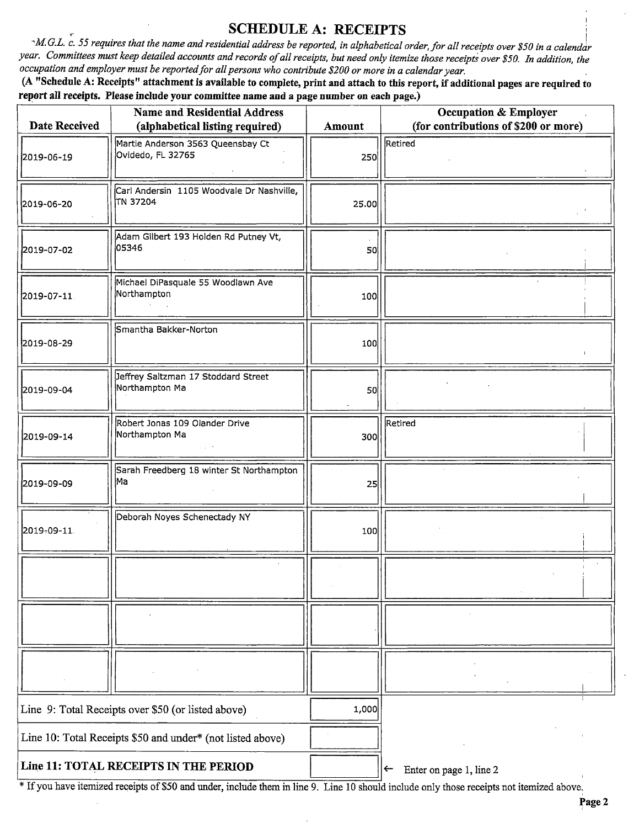## SCHEDULE A: RECEIPTS

 $\sim$ M.G.L. c. 55 requires that the name and residential address be reported, in alphabetical order, for all receipts over \$50 in a calendar year. Committees must keep detailed accounts and records of all receipts, but need only itemize those receipts over \$50. In addition, the occupation and employer must be reported for all persons who contribute \$200 or more in a calendar year.

A " Schedule A: Receipts" attachment is available to complete, print and attach to this report, if additional pages are required to report all receipts. Please include your committee name and a page number on each page.)

| Date Received                                              | <b>Name and Residential Address</b><br>(alphabetical listing required) | Amount | <b>Occupation &amp; Employer</b><br>(for contributions of \$200 or more) |  |
|------------------------------------------------------------|------------------------------------------------------------------------|--------|--------------------------------------------------------------------------|--|
| 2019-06-19                                                 | Martie Anderson 3563 Queensbay Ct<br>Ovidedo, FL 32765                 | 250    | Retired                                                                  |  |
| 2019-06-20                                                 | Carl Andersin 1105 Woodvale Dr Nashville,<br>TN 37204                  | 25.00  |                                                                          |  |
| 2019-07-02                                                 | Adam Gilbert 193 Holden Rd Putney Vt,<br>05346                         | 50     |                                                                          |  |
| 2019-07-11                                                 | Michael DiPasquale 55 Woodlawn Ave<br>Northampton                      | 100    |                                                                          |  |
| 2019-08-29                                                 | Smantha Bakker-Norton                                                  | 100    |                                                                          |  |
| 2019-09-04                                                 | Jeffrey Saltzman 17 Stoddard Street<br>Northampton Ma                  | 50     |                                                                          |  |
| 2019-09-14                                                 | Robert Jonas 109 Olander Drive<br>Northampton Ma                       | 300    | Retired                                                                  |  |
| 2019-09-09                                                 | Sarah Freedberg 18 winter St Northampton<br>Ma                         | 25     |                                                                          |  |
| 2019-09-11                                                 | Deborah Noyes Schenectady NY                                           | 100    |                                                                          |  |
|                                                            |                                                                        |        |                                                                          |  |
|                                                            |                                                                        |        |                                                                          |  |
|                                                            |                                                                        |        |                                                                          |  |
| Line 9: Total Receipts over \$50 (or listed above)         |                                                                        | 1,000  |                                                                          |  |
| Line 10: Total Receipts \$50 and under* (not listed above) |                                                                        |        |                                                                          |  |
|                                                            | Line 11: TOTAL RECEIPTS IN THE PERIOD                                  |        | Enter on page 1, line 2<br>$\leftarrow$                                  |  |

<sup>\*</sup> If you have itemized receipts of \$50 and under, include them in line 9. Line 10 should include only those receipts not itemized above.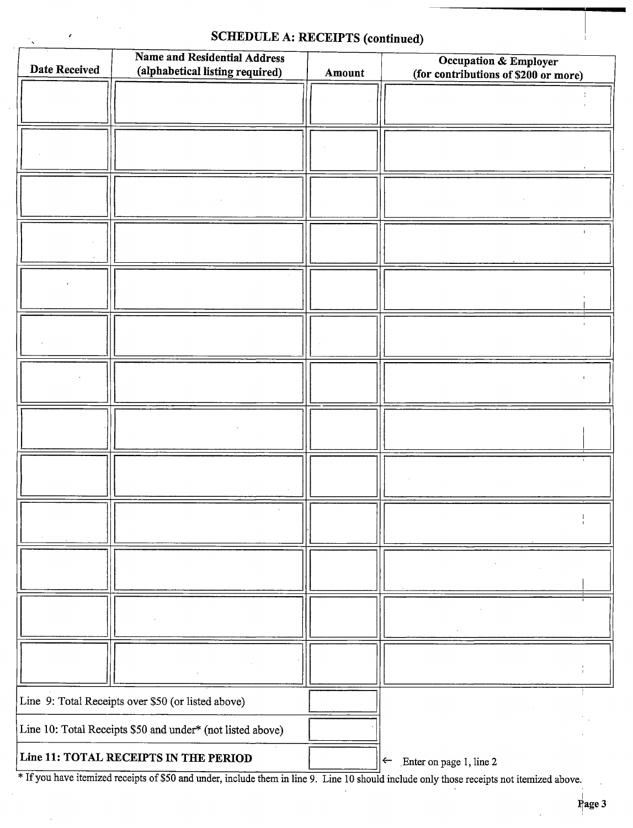# SCHEDULE A: RECEIPTS (continued)

 $\sim$ 

 $\epsilon$ 

| <b>Date Received</b>                                       | Name and Residential Address<br>(alphabetical listing required) | Amount | Occupation & Employer<br>(for contributions of \$200 or more) |
|------------------------------------------------------------|-----------------------------------------------------------------|--------|---------------------------------------------------------------|
|                                                            |                                                                 |        |                                                               |
|                                                            |                                                                 |        |                                                               |
|                                                            |                                                                 |        |                                                               |
|                                                            |                                                                 |        |                                                               |
|                                                            |                                                                 |        |                                                               |
|                                                            |                                                                 |        |                                                               |
|                                                            |                                                                 |        |                                                               |
|                                                            |                                                                 |        |                                                               |
|                                                            |                                                                 |        |                                                               |
|                                                            |                                                                 |        |                                                               |
|                                                            |                                                                 |        |                                                               |
|                                                            |                                                                 |        |                                                               |
|                                                            |                                                                 |        |                                                               |
|                                                            |                                                                 |        |                                                               |
|                                                            |                                                                 |        |                                                               |
|                                                            |                                                                 |        |                                                               |
| Line 9: Total Receipts over \$50 (or listed above)         |                                                                 |        |                                                               |
| Line 10: Total Receipts \$50 and under* (not listed above) |                                                                 |        |                                                               |
| Line 11: TOTAL RECEIPTS IN THE PERIOD                      |                                                                 |        | $\leftarrow$ Enter on page 1, line 2                          |

<sup>\*</sup> If you have itemized receipts of \$50 and under, include them in line 9. Line 10 should include only those receipts not itemized above.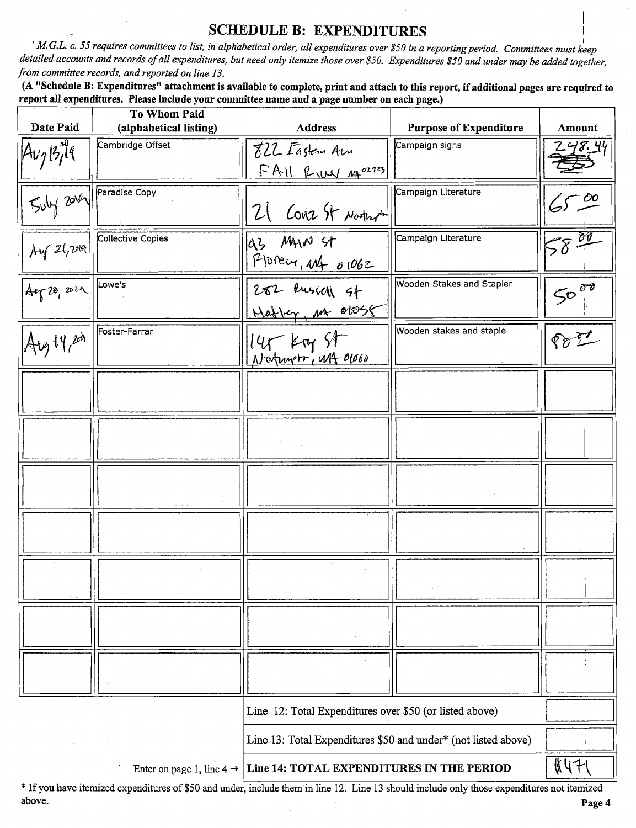## SCHEDULE B: EXPENDITURES

i

M.G.L. c. 55 requires committees to list, in alphabetical order, all expenditures over \$50 in a reporting period. Committees must keep detailed accounts and records of all expenditures, but need only itemize those over \$50. Expenditures \$50 and under may be added together, from committee records, and reported on line 13.

A " Schedule B: Expenditures" attachment is available to complete, print and attach to this report, if additional pages are required to report all expenditures. Please include your committee name and a page number on each page.)

| Date Paid                  | To Whom Paid<br>(alphabetical listing) | <b>Address</b>                                                 | <b>Purpose of Expenditure</b> | Amount    |
|----------------------------|----------------------------------------|----------------------------------------------------------------|-------------------------------|-----------|
|                            | Cambridge Offset                       | 822 Fasten Am                                                  | Campaign signs                | Z 48. 44  |
| $14v_713799$               |                                        | FAIL Ruy Ma <sup>02723</sup>                                   |                               |           |
|                            | Paradise Copy                          |                                                                | Campaign Literature           |           |
| $50\frac{1}{2000}$         |                                        | 21 COVE St North                                               |                               | 6500      |
| Ay21,009                   | Collective Copies                      | las Mun st                                                     | Campaign Literature           | $58 - 00$ |
|                            |                                        | POPEUL, MA 01062                                               |                               |           |
| $Arg$ 20, 2012 $\sqrt{20}$ |                                        | $282$ lusion of                                                | Wooden Stakes and Stapler     | $50^{00}$ |
|                            |                                        | Hatter, M 01058                                                |                               |           |
| $ A_{1/3}14,24 $           | Foster-Farrar                          |                                                                | Wooden stakes and staple      | Po T      |
|                            |                                        | 145 Kty St                                                     |                               |           |
|                            |                                        |                                                                |                               |           |
|                            |                                        |                                                                |                               |           |
|                            |                                        |                                                                |                               |           |
|                            |                                        |                                                                |                               |           |
|                            |                                        |                                                                |                               |           |
|                            |                                        |                                                                |                               |           |
|                            |                                        |                                                                |                               |           |
|                            |                                        |                                                                |                               |           |
|                            |                                        |                                                                |                               |           |
|                            |                                        |                                                                |                               |           |
|                            |                                        |                                                                |                               |           |
|                            |                                        |                                                                |                               |           |
|                            |                                        |                                                                |                               |           |
|                            |                                        |                                                                |                               |           |
|                            |                                        | Line 12: Total Expenditures over \$50 (or listed above)        |                               |           |
|                            |                                        | Line 13: Total Expenditures \$50 and under* (not listed above) |                               |           |
|                            | Enter on page 1, line $4 \rightarrow$  | Line 14: TOTAL EXPENDITURES IN THE PERIOD                      |                               | \$471     |

<sup>\*</sup> If you have itemized expenditures of \$50 and under, include them in line 12. Line 13 should include only those expenditures not itemized above. above. The property of the contract of the contract of the contract of the contract of the contract of the contract of the contract of the contract of the contract of the contract of the contract of the contract of the con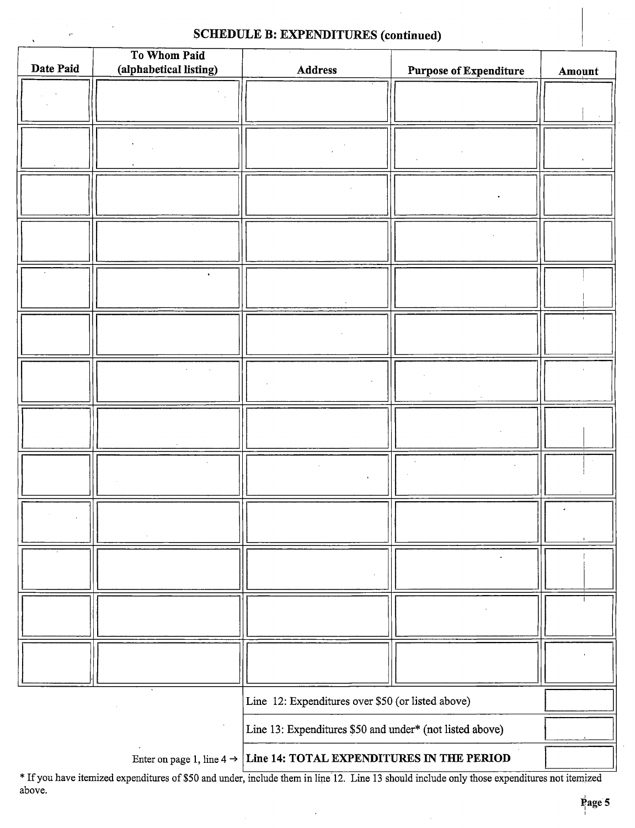### SCHEDULE B: EXPENDITURES (continued)

 $\epsilon$ 

|           | To Whom Paid           |                                                          |                               |        |
|-----------|------------------------|----------------------------------------------------------|-------------------------------|--------|
| Date Paid | (alphabetical listing) | <b>Address</b>                                           | <b>Purpose of Expenditure</b> | Amount |
|           |                        |                                                          |                               |        |
|           |                        |                                                          |                               |        |
|           |                        |                                                          |                               |        |
|           |                        |                                                          |                               |        |
|           |                        |                                                          |                               |        |
|           |                        |                                                          |                               |        |
|           |                        |                                                          |                               |        |
|           |                        |                                                          |                               |        |
|           |                        |                                                          |                               |        |
|           |                        |                                                          |                               |        |
|           |                        |                                                          |                               |        |
|           |                        |                                                          |                               |        |
|           |                        |                                                          |                               |        |
|           |                        |                                                          |                               |        |
|           |                        |                                                          |                               |        |
|           |                        |                                                          |                               |        |
|           |                        |                                                          |                               |        |
|           |                        |                                                          |                               |        |
|           |                        |                                                          |                               |        |
|           |                        |                                                          |                               |        |
|           |                        |                                                          |                               |        |
|           |                        |                                                          |                               |        |
|           |                        |                                                          |                               |        |
|           |                        |                                                          |                               |        |
|           |                        |                                                          |                               |        |
|           |                        |                                                          |                               |        |
|           |                        |                                                          |                               |        |
|           |                        |                                                          |                               |        |
|           |                        |                                                          |                               |        |
|           |                        |                                                          |                               |        |
|           |                        |                                                          |                               |        |
|           |                        |                                                          |                               |        |
|           |                        |                                                          |                               |        |
|           |                        |                                                          |                               |        |
|           |                        |                                                          |                               |        |
|           |                        |                                                          |                               |        |
|           |                        |                                                          |                               |        |
|           |                        |                                                          |                               |        |
|           |                        |                                                          |                               |        |
|           |                        |                                                          |                               |        |
|           |                        |                                                          |                               |        |
|           |                        | Line 12: Expenditures over \$50 (or listed above)        |                               |        |
|           |                        |                                                          |                               |        |
|           |                        | Line 13: Expenditures \$50 and under* (not listed above) |                               |        |
|           |                        |                                                          |                               |        |
|           |                        |                                                          |                               |        |

Enter on page 1, line  $4 \rightarrow$  Line 14: TOTAL EXPENDITURES IN THE PERIOD

If you have itemized expenditures of\$ <sup>50</sup> and under, include them in line 12. Line <sup>13</sup> should include only those expenditures not itemized above.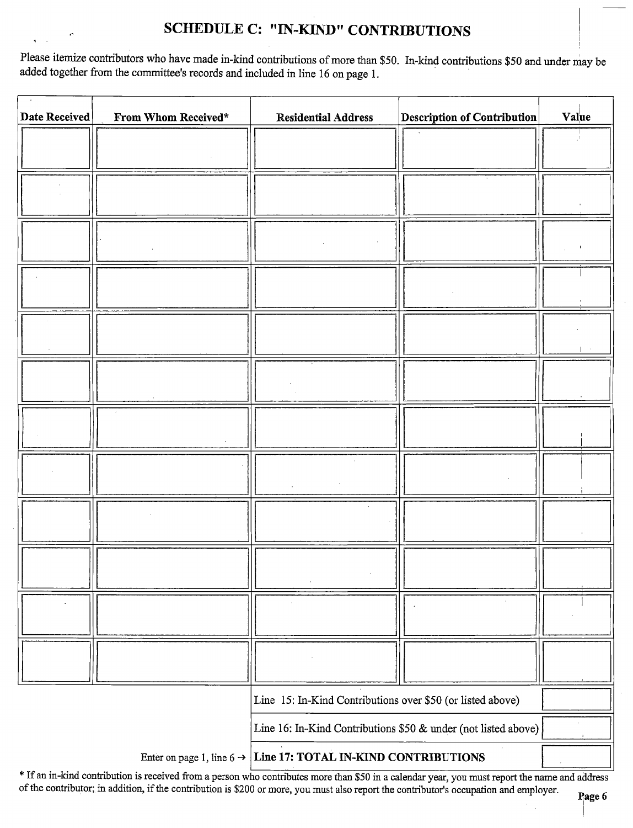# SCHEDULE C: "IN-KIND" CONTRIBUTIONS

Please itemize contributors who have made in-kind contributions of more than \$50. In-kind contributions \$50 and under may be added together from the committee's records and included in line 16 on page 1.

| Date Received | From Whom Received* | <b>Residential Address</b>                                                 | <b>Description of Contribution</b> | Value |
|---------------|---------------------|----------------------------------------------------------------------------|------------------------------------|-------|
|               |                     |                                                                            |                                    |       |
|               |                     |                                                                            |                                    |       |
|               |                     |                                                                            |                                    |       |
|               |                     |                                                                            |                                    |       |
|               |                     |                                                                            |                                    |       |
|               |                     |                                                                            |                                    |       |
|               |                     |                                                                            |                                    |       |
|               |                     |                                                                            |                                    |       |
|               |                     |                                                                            |                                    |       |
|               |                     |                                                                            |                                    |       |
|               |                     |                                                                            |                                    |       |
|               |                     |                                                                            |                                    |       |
|               |                     |                                                                            |                                    |       |
|               |                     |                                                                            |                                    |       |
|               |                     |                                                                            |                                    |       |
|               |                     |                                                                            |                                    |       |
|               |                     |                                                                            |                                    |       |
|               |                     |                                                                            |                                    |       |
|               |                     |                                                                            |                                    |       |
|               |                     |                                                                            |                                    |       |
|               |                     |                                                                            |                                    |       |
|               |                     |                                                                            |                                    |       |
|               |                     |                                                                            |                                    |       |
|               |                     |                                                                            |                                    |       |
|               |                     | Line 15: In-Kind Contributions over \$50 (or listed above)                 |                                    |       |
|               |                     | Line 16: In-Kind Contributions \$50 & under (not listed above)             |                                    |       |
|               |                     | Enter on page 1, line $6 \rightarrow$ Line 17: TOTAL IN-KIND CONTRIBUTIONS |                                    |       |

\* If an in-kind contribution is received from a person who contributes more than \$50 in a calendar year, you must report the name and address of the contributor; in addition, if the contribution is\$ <sup>200</sup> or more, you must also report the contributor's occupation and employer.